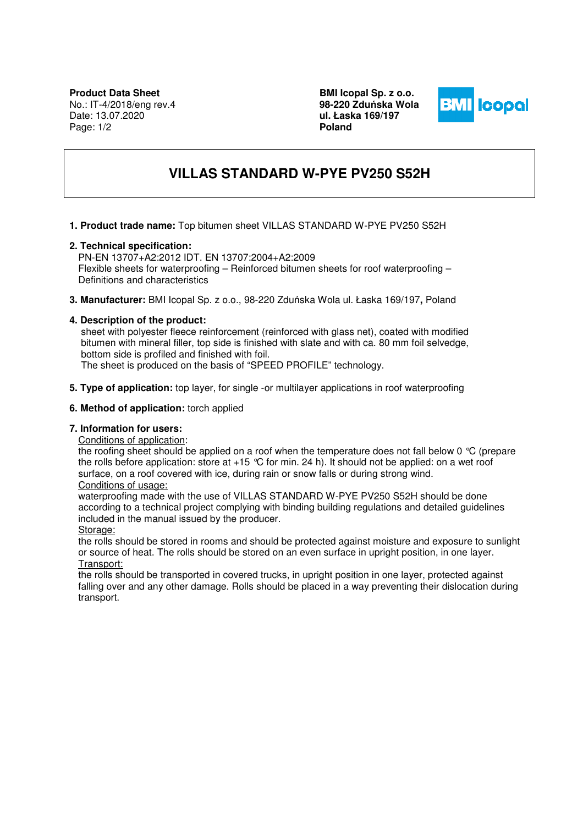**BMI Icopal Sp. z o.o. 98-220 Zdu**ń**ska Wola ul. Łaska 169/197 Poland** 



# **VILLAS STANDARD W-PYE PV250 S52H**

## **1. Product trade name:** Top bitumen sheet VILLAS STANDARD W-PYE PV250 S52H

## **2. Technical specification:**

PN-EN 13707+A2:2012 IDT. EN 13707:2004+A2:2009 Flexible sheets for waterproofing – Reinforced bitumen sheets for roof waterproofing – Definitions and characteristics

**3. Manufacturer:** BMI Icopal Sp. z o.o., 98-220 Zduńska Wola ul. Łaska 169/197**,** Poland

## **4. Description of the product:**

 sheet with polyester fleece reinforcement (reinforced with glass net), coated with modified bitumen with mineral filler, top side is finished with slate and with ca. 80 mm foil selvedge, bottom side is profiled and finished with foil.

The sheet is produced on the basis of "SPEED PROFILE" technology.

**5. Type of application:** top layer, for single -or multilayer applications in roof waterproofing

#### **6. Method of application:** torch applied

## **7. Information for users:**

Conditions of application:

the roofing sheet should be applied on a roof when the temperature does not fall below 0 °C (prepare the rolls before application: store at  $+15$  °C for min. 24 h). It should not be applied: on a wet roof surface, on a roof covered with ice, during rain or snow falls or during strong wind.

# Conditions of usage:

waterproofing made with the use of VILLAS STANDARD W-PYE PV250 S52H should be done according to a technical project complying with binding building regulations and detailed guidelines included in the manual issued by the producer.

Storage:

the rolls should be stored in rooms and should be protected against moisture and exposure to sunlight or source of heat. The rolls should be stored on an even surface in upright position, in one layer. Transport:

the rolls should be transported in covered trucks, in upright position in one layer, protected against falling over and any other damage. Rolls should be placed in a way preventing their dislocation during transport.